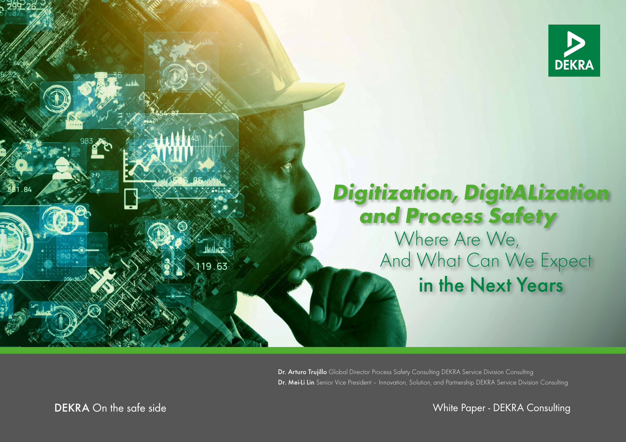

# **Digitization, DigitALization and Process Safety**

in the Next Years Where Are We, And What Can We Expect

Dr. Arturo Trujillo Global Director Process Safety Consulting DEKRA Service Division Consulting Dr. Mei-Li Lin Senior Vice President - Innovation, Solution, and Partnership DEKRA Service Division Consulting

DEKRA On the safe side

 $19.63$ 

White Paper - DEKRA Consulting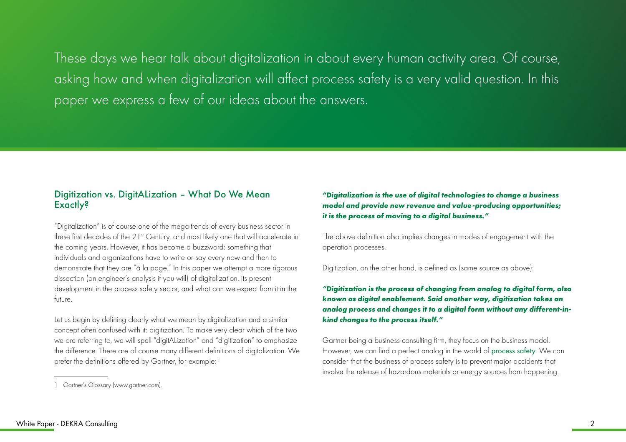These days we hear talk about digitalization in about every human activity area. Of course, asking how and when digitalization will affect process safety is a very valid question. In this paper we express a few of our ideas about the answers.

#### Digitization vs. DigitALization – What Do We Mean Exactly?

"Digitalization" is of course one of the mega-trends of every business sector in these first decades of the 21<sup>st</sup> Century, and most likely one that will accelerate in the coming years. However, it has become a buzzword: something that individuals and organizations have to write or say every now and then to demonstrate that they are "à la page." In this paper we attempt a more rigorous dissection (an engineer's analysis if you will) of digitalization, its present development in the process safety sector, and what can we expect from it in the future.

Let us begin by defining clearly what we mean by digitalization and a similar concept often confused with it: digitization. To make very clear which of the two we are referring to, we will spell "digitALization" and "digitization" to emphasize the difference. There are of course many different definitions of digitalization. We prefer the definitions offered by Gartner, for example:<sup>1</sup>

*"Digitalization is the use of digital technologies to change a business model and provide new revenue and value-producing opportunities; it is the process of moving to a digital business."*

The above definition also implies changes in modes of engagement with the operation processes.

Digitization, on the other hand, is defined as (same source as above):

*"Digitization is the process of changing from analog to digital form, also known as digital enablement. Said another way, digitization takes an analog process and changes it to a digital form without any different-inkind changes to the process itself."*

Gartner being a business consulting firm, they focus on the business model. However, we can find a perfect analog in the world of [process safety](https://www.dekra.com/en/process-safety-solutions/). We can consider that the business of process safety is to prevent major accidents that involve the release of hazardous materials or energy sources from happening.

<sup>1</sup> Gartner's Glossary (www.gartner.com).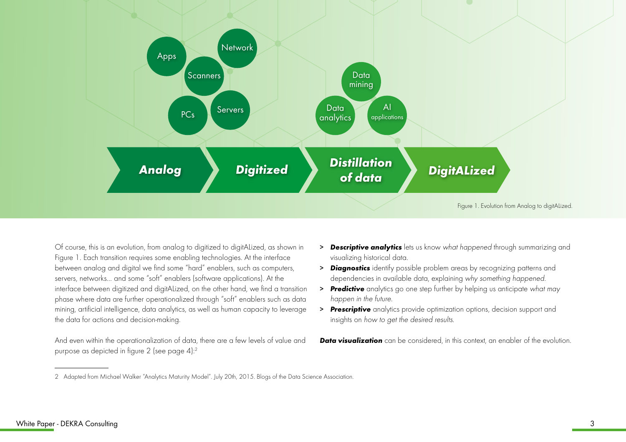

Of course, this is an evolution, from analog to digitized to digitALized, as shown in Figure 1. Each transition requires some enabling technologies. At the interface between analog and digital we find some "hard" enablers, such as computers, servers, networks… and some "soft" enablers (software applications). At the interface between digitized and digitALized, on the other hand, we find a transition phase where data are further operationalized through "soft" enablers such as data mining, artificial intelligence, data analytics, as well as human capacity to leverage the data for actions and decision-making.

And even within the operationalization of data, there are a few levels of value and purpose as depicted in figure 2 (see page 4):2

- > *Descriptive analytics* lets us know what happened through summarizing and visualizing historical data.
- > *Diagnostics* identify possible problem areas by recognizing patterns and dependencies in available data, explaining why something happened.
- > *Predictive* analytics go one step further by helping us anticipate what may happen in the future.
- > *Prescriptive* analytics provide optimization options, decision support and insights on how to get the desired results.

**Data visualization** can be considered, in this context, an enabler of the evolution.

<sup>2</sup> Adapted from Michael Walker "Analytics Maturity Model". July 20th, 2015. Blogs of the Data Science Association.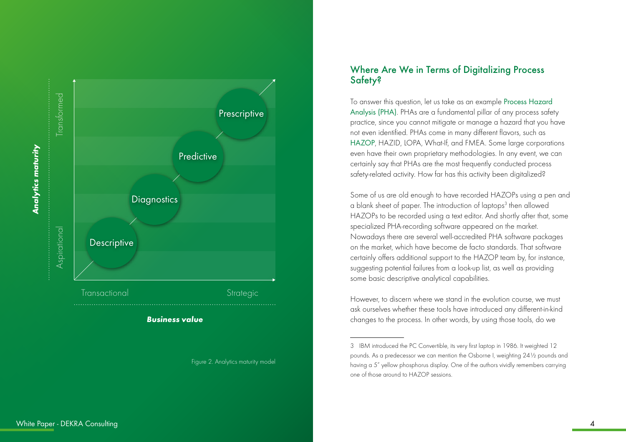

#### Figure 2. Analytics maturity model

### Where Are We in Terms of Digitalizing Process Safety?

To answer this question, let us take as an example [Process Hazard](https://www.dekra.com/en/process-hazard-analysis/)  [Analysis \(PHA\)](https://www.dekra.com/en/process-hazard-analysis/). PHAs are a fundamental pillar of any process safety practice, since you cannot mitigate or manage a hazard that you have not even identified. PHAs come in many different flavors, such as [HAZOP](https://www.dekra.com/en/hazard-and-operability-studies/), HAZID, LOPA, What-If, and FMEA. Some large corporations even have their own proprietary methodologies. In any event, we can certainly say that PHAs are the most frequently conducted process safety-related activity. How far has this activity been digitalized?

Some of us are old enough to have recorded HAZOPs using a pen and a blank sheet of paper. The introduction of laptops<sup>3</sup> then allowed HAZOPs to be recorded using a text editor. And shortly after that, some specialized PHA-recording software appeared on the market. Nowadays there are several well-accredited PHA software packages on the market, which have become de facto standards. That software certainly offers additional support to the HAZOP team by, for instance, suggesting potential failures from a look-up list, as well as providing some basic descriptive analytical capabilities.

However, to discern where we stand in the evolution course, we must ask ourselves whether these tools have introduced any different-in-kind changes to the process. In other words, by using those tools, do we

<sup>3</sup> IBM introduced the PC Convertible, its very first laptop in 1986. It weighted 12 pounds. As a predecessor we can mention the Osborne I, weighting 24½ pounds and having a 5" yellow phosphorus display. One of the authors vividly remembers carrying one of those around to HAZOP sessions.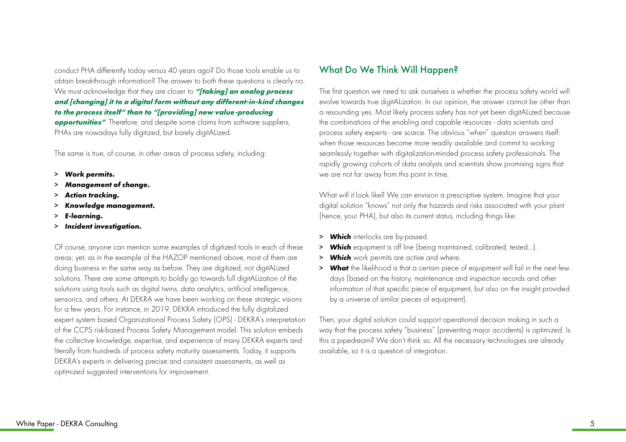conduct PHA differently today versus 40 years ago? Do those tools enable us to obtain breakthrough information? The answer to both these questions is clearly no. We must acknowledge that they are closer to *"[taking] an analog process and [changing] it to a digital form without any different-in-kind changes to the process itself" than to "[providing] new value-producing opportunities"*. Therefore, and despite some claims from software suppliers, PHAs are nowadays fully digitized, but barely digitALized.

The same is true, of course, in other areas of process safety, including:

- > *Work permits.*
- > *Management of change.*
- > *Action tracking.*
- > *Knowledge management.*
- > *E-learning.*
- > *Incident investigation.*

Of course, anyone can mention some examples of digitized tools in each of these areas; yet, as in the example of the HAZOP mentioned above, most of them are doing business in the same way as before. They are digitized, not digitALized solutions. There are some attempts to boldly go towards full digitALization of the solutions using tools such as digital twins, data analytics, artificial intelligence, sensorics, and others. At DEKRA we have been working on these strategic visions for a few years. For instance, in 2019, DEKRA introduced the fully digitalized expert system based Organizational Process Safety (OPS) - DEKRA's interpretation of the CCPS risk-based Process Safety Management model. This solution embeds the collective knowledge, expertise, and experience of many DEKRA experts and literally from hundreds of process safety maturity assessments. Today, it supports DEKRA's experts in delivering precise and consistent assessments, as well as optimized suggested interventions for improvement.

#### What Do We Think Will Happen?

The first question we need to ask ourselves is whether the process safety world will evolve towards true digitALization. In our opinion, the answer cannot be other than a resounding yes. Most likely process safety has not yet been digitALized because the combinations of the enabling and capable resources - data scientists and process safety experts - are scarce. The obvious "when" question answers itself: when those resources become more readily available and commit to working seamlessly together with digitalization-minded process safety professionals. The rapidly growing cohorts of data analysts and scientists show promising signs that we are not far away from this point in time.

What will it look like? We can envision a prescriptive system. Imagine that your digital solution "knows" not only the hazards and risks associated with your plant (hence, your PHA), but also its current status, including things like:

- > *Which* interlocks are by-passed.
- > *Which* equipment is off line (being maintained, calibrated, tested…).
- > *Which* work permits are active and where.
- > *What* the likelihood is that a certain piece of equipment will fail in the next few days (based on the history, maintenance and inspection records and other information of that specific piece of equipment, but also on the insight provided by a universe of similar pieces of equipment).

Then, your digital solution could support operational decision making in such a way that the process safety "business" (preventing major accidents) is optimized. Is this a pipedream? We don't think so. All the necessary technologies are already available, so it is a question of integration.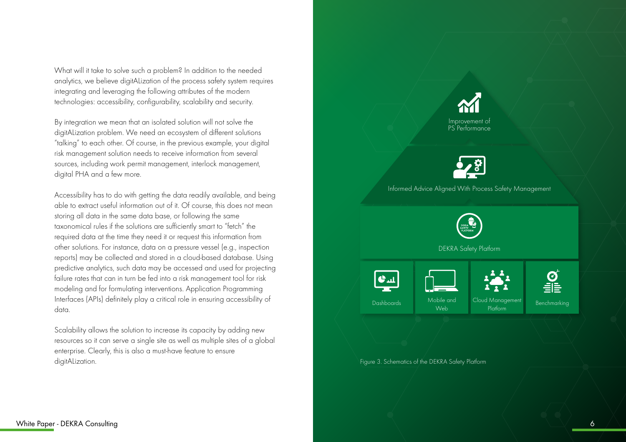What will it take to solve such a problem? In addition to the needed analytics, we believe digitALization of the process safety system requires integrating and leveraging the following attributes of the modern technologies: accessibility, configurability, scalability and security.

By integration we mean that an isolated solution will not solve the digitALization problem. We need an ecosystem of different solutions "talking" to each other. Of course, in the previous example, your digital risk management solution needs to receive information from several sources, including work permit management, interlock management, digital PHA and a few more.

Accessibility has to do with getting the data readily available, and being able to extract useful information out of it. Of course, this does not mean storing all data in the same data base, or following the same taxonomical rules if the solutions are sufficiently smart to "fetch" the required data at the time they need it or request this information from other solutions. For instance, data on a pressure vessel (e.g., inspection reports) may be collected and stored in a cloud-based database. Using predictive analytics, such data may be accessed and used for projecting failure rates that can in turn be fed into a risk management tool for risk modeling and for formulating interventions. Application Programming Interfaces (APIs) definitely play a critical role in ensuring accessibility of data.

Scalability allows the solution to increase its capacity by adding new resources so it can serve a single site as well as multiple sites of a global enterprise. Clearly, this is also a must-have feature to ensure digitALization. Figure 3. Schematics of the DEKRA Safety Platform



PS Performance



Informed Advice Aligned With Process Safety Management



DEKRA Safety Platform



Web

Cloud Management

 $\boldsymbol{C}$ 1 Management Benchmarking<br>Platform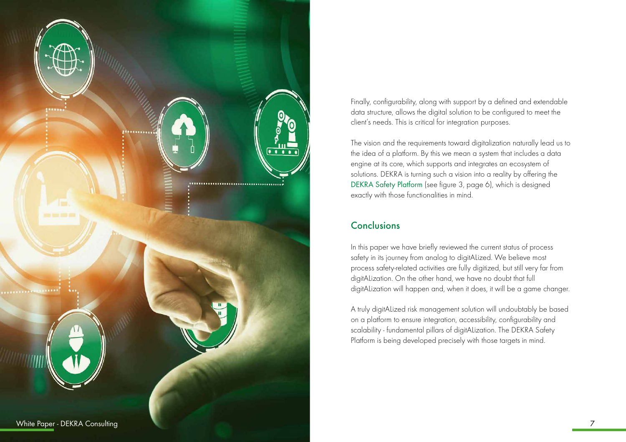

Finally, configurability, along with support by a defined and extendable data structure, allows the digital solution to be configured to meet the client's needs. This is critical for integration purposes.

The vision and the requirements toward digitalization naturally lead us to the idea of a platform. By this we mean a system that includes a data engine at its core, which supports and integrates an ecosystem of solutions. DEKRA is turning such a vision into a reality by offering the [DEKRA Safety Platform](https://www.dekra.com/en/dekra-safety-platform/) (see figure 3, page 6), which is designed exactly with those functionalities in mind.

## Conclusions

In this paper we have briefly reviewed the current status of process safety in its journey from analog to digitALized. We believe most process safety-related activities are fully digitized, but still very far from digitALization. On the other hand, we have no doubt that full digitALization will happen and, when it does, it will be a game changer.

A truly digitALized risk management solution will undoubtably be based on a platform to ensure integration, accessibility, configurability and scalability - fundamental pillars of digitALization. The DEKRA Safety Platform is being developed precisely with those targets in mind.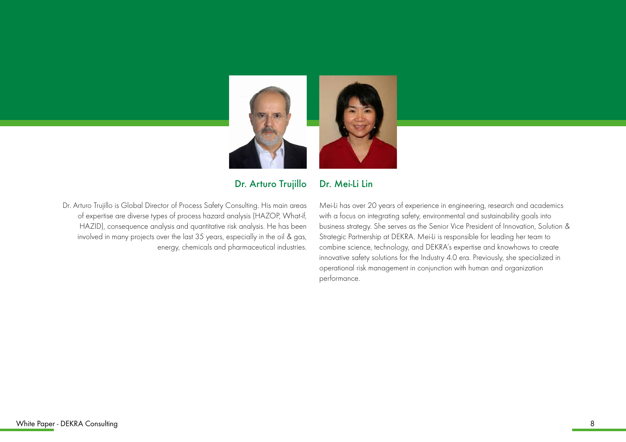

Dr. Mei-Li Lin

Dr. Arturo Trujillo

Dr. Arturo Trujillo is Global Director of Process Safety Consulting. His main areas of expertise are diverse types of process hazard analysis (HAZOP, What-if, HAZID), consequence analysis and quantitative risk analysis. He has been involved in many projects over the last 35 years, especially in the oil & gas, energy, chemicals and pharmaceutical industries. Mei-Li has over 20 years of experience in engineering, research and academics with a focus on integrating safety, environmental and sustainability goals into business strategy. She serves as the Senior Vice President of Innovation, Solution & Strategic Partnership at DEKRA. Mei-Li is responsible for leading her team to combine science, technology, and DEKRA's expertise and knowhows to create innovative safety solutions for the Industry 4.0 era. Previously, she specialized in operational risk management in conjunction with human and organization performance.